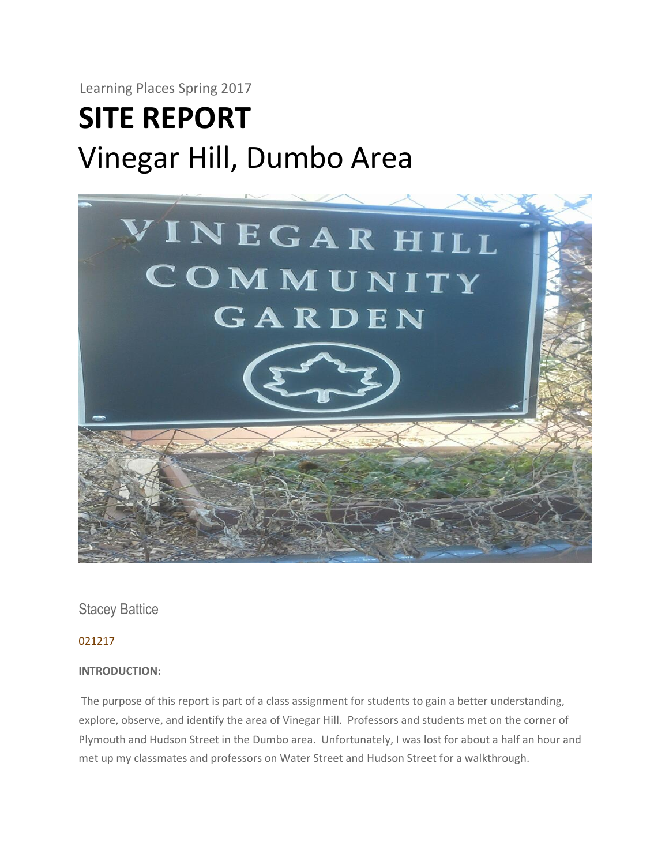Learning Places Spring 2017

# **SITE REPORT** Vinegar Hill, Dumbo Area



Stacey Battice

021217

#### **INTRODUCTION:**

The purpose of this report is part of a class assignment for students to gain a better understanding, explore, observe, and identify the area of Vinegar Hill. Professors and students met on the corner of Plymouth and Hudson Street in the Dumbo area. Unfortunately, I was lost for about a half an hour and met up my classmates and professors on Water Street and Hudson Street for a walkthrough.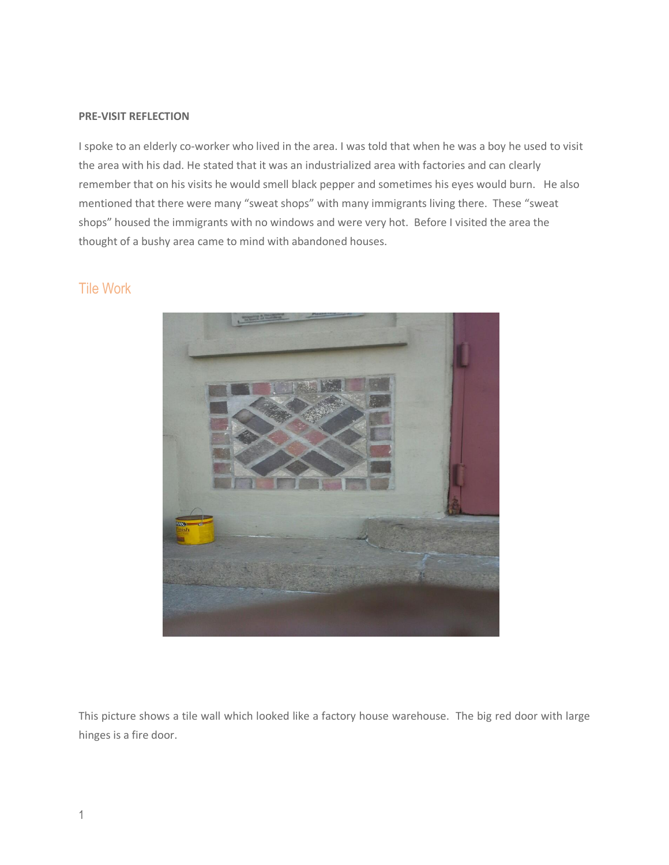#### **PRE-VISIT REFLECTION**

I spoke to an elderly co-worker who lived in the area. I was told that when he was a boy he used to visit the area with his dad. He stated that it was an industrialized area with factories and can clearly remember that on his visits he would smell black pepper and sometimes his eyes would burn. He also mentioned that there were many "sweat shops" with many immigrants living there. These "sweat shops" housed the immigrants with no windows and were very hot. Before I visited the area the thought of a bushy area came to mind with abandoned houses.

## Tile Work



This picture shows a tile wall which looked like a factory house warehouse. The big red door with large hinges is a fire door.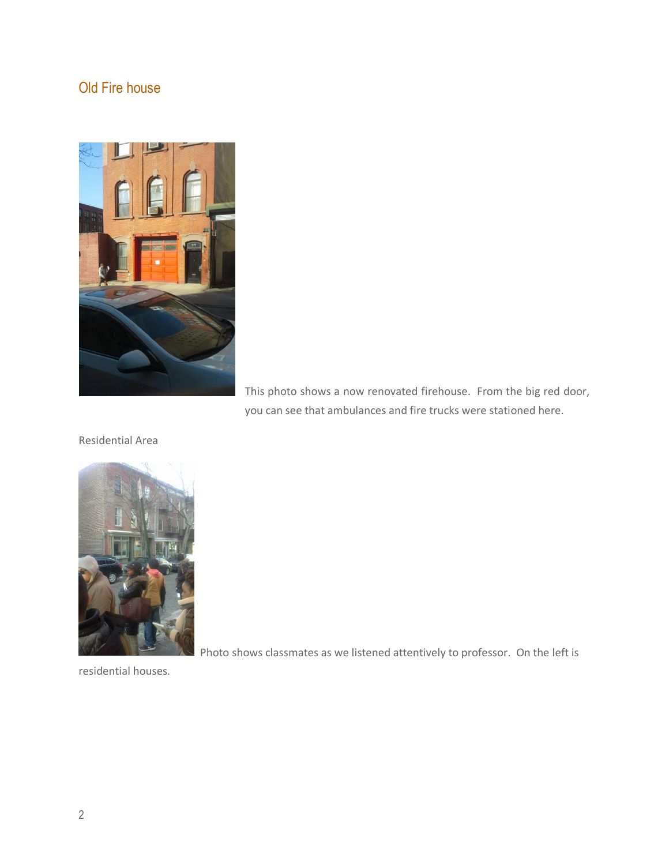# Old Fire house



This photo shows a now renovated firehouse. From the big red door, you can see that ambulances and fire trucks were stationed here.

Residential Area



Photo shows classmates as we listened attentively to professor. On the left is

residential houses.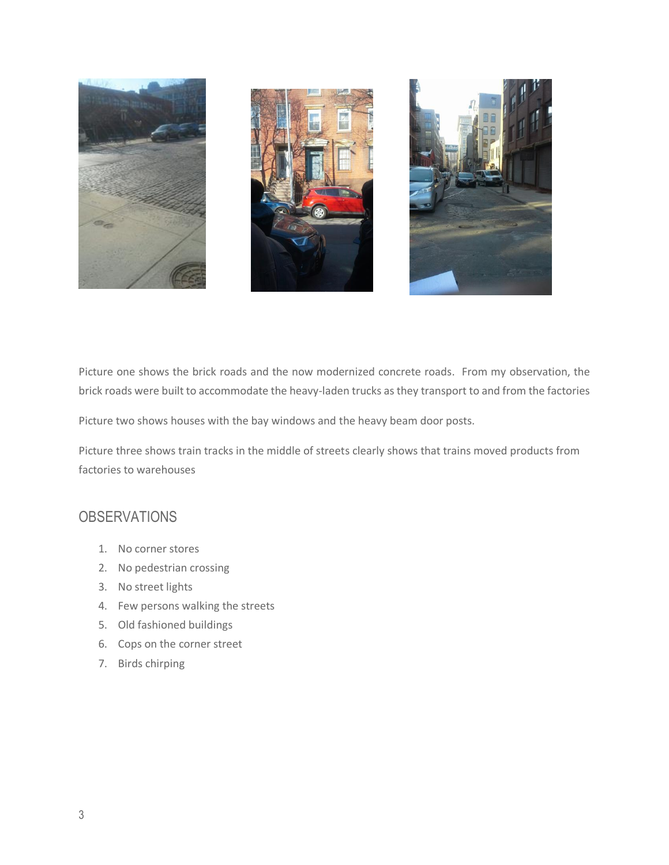

Picture one shows the brick roads and the now modernized concrete roads. From my observation, the brick roads were built to accommodate the heavy-laden trucks as they transport to and from the factories

Picture two shows houses with the bay windows and the heavy beam door posts.

Picture three shows train tracks in the middle of streets clearly shows that trains moved products from factories to warehouses

## **OBSERVATIONS**

- 1. No corner stores
- 2. No pedestrian crossing
- 3. No street lights
- 4. Few persons walking the streets
- 5. Old fashioned buildings
- 6. Cops on the corner street
- 7. Birds chirping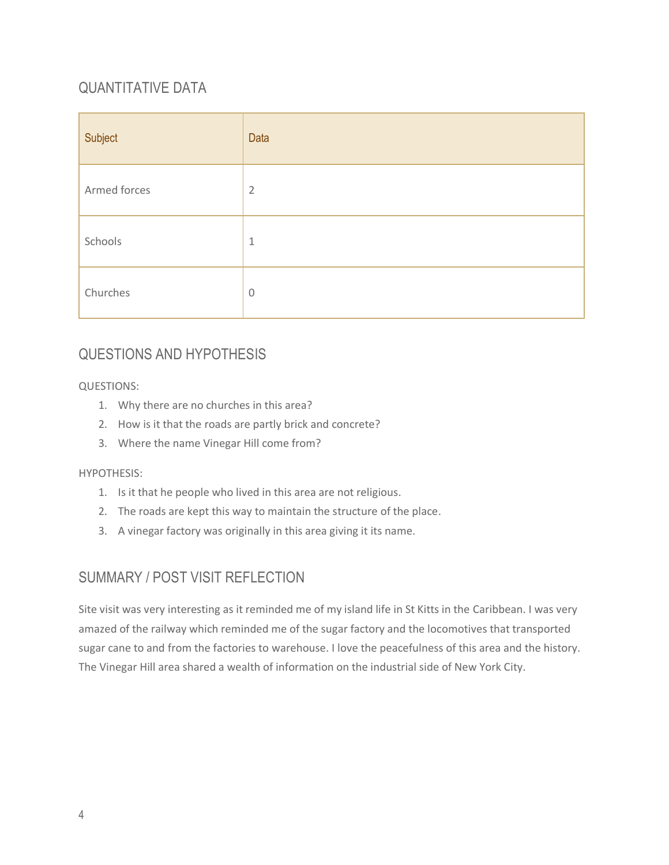# QUANTITATIVE DATA

| Subject      | Data           |
|--------------|----------------|
| Armed forces | $\overline{2}$ |
| Schools      | $\mathbf{1}$   |
| Churches     | $\mathbb O$    |

## QUESTIONS AND HYPOTHESIS

### QUESTIONS:

- 1. Why there are no churches in this area?
- 2. How is it that the roads are partly brick and concrete?
- 3. Where the name Vinegar Hill come from?

### HYPOTHESIS:

- 1. Is it that he people who lived in this area are not religious.
- 2. The roads are kept this way to maintain the structure of the place.
- 3. A vinegar factory was originally in this area giving it its name.

## SUMMARY / POST VISIT REFLECTION

Site visit was very interesting as it reminded me of my island life in St Kitts in the Caribbean. I was very amazed of the railway which reminded me of the sugar factory and the locomotives that transported sugar cane to and from the factories to warehouse. I love the peacefulness of this area and the history. The Vinegar Hill area shared a wealth of information on the industrial side of New York City.